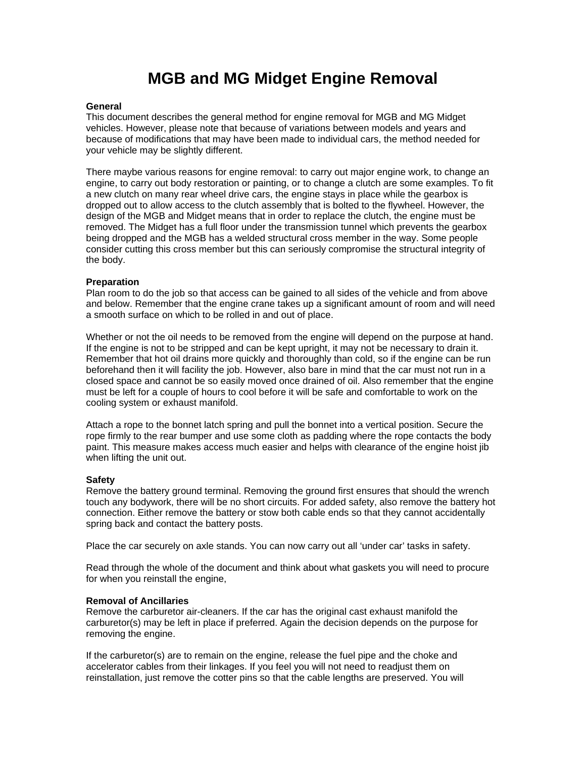# **MGB and MG Midget Engine Removal**

## **General**

This document describes the general method for engine removal for MGB and MG Midget vehicles. However, please note that because of variations between models and years and because of modifications that may have been made to individual cars, the method needed for your vehicle may be slightly different.

There maybe various reasons for engine removal: to carry out major engine work, to change an engine, to carry out body restoration or painting, or to change a clutch are some examples. To fit a new clutch on many rear wheel drive cars, the engine stays in place while the gearbox is dropped out to allow access to the clutch assembly that is bolted to the flywheel. However, the design of the MGB and Midget means that in order to replace the clutch, the engine must be removed. The Midget has a full floor under the transmission tunnel which prevents the gearbox being dropped and the MGB has a welded structural cross member in the way. Some people consider cutting this cross member but this can seriously compromise the structural integrity of the body.

## **Preparation**

Plan room to do the job so that access can be gained to all sides of the vehicle and from above and below. Remember that the engine crane takes up a significant amount of room and will need a smooth surface on which to be rolled in and out of place.

Whether or not the oil needs to be removed from the engine will depend on the purpose at hand. If the engine is not to be stripped and can be kept upright, it may not be necessary to drain it. Remember that hot oil drains more quickly and thoroughly than cold, so if the engine can be run beforehand then it will facility the job. However, also bare in mind that the car must not run in a closed space and cannot be so easily moved once drained of oil. Also remember that the engine must be left for a couple of hours to cool before it will be safe and comfortable to work on the cooling system or exhaust manifold.

Attach a rope to the bonnet latch spring and pull the bonnet into a vertical position. Secure the rope firmly to the rear bumper and use some cloth as padding where the rope contacts the body paint. This measure makes access much easier and helps with clearance of the engine hoist jib when lifting the unit out.

#### **Safety**

Remove the battery ground terminal. Removing the ground first ensures that should the wrench touch any bodywork, there will be no short circuits. For added safety, also remove the battery hot connection. Either remove the battery or stow both cable ends so that they cannot accidentally spring back and contact the battery posts.

Place the car securely on axle stands. You can now carry out all 'under car' tasks in safety.

Read through the whole of the document and think about what gaskets you will need to procure for when you reinstall the engine,

#### **Removal of Ancillaries**

Remove the carburetor air-cleaners. If the car has the original cast exhaust manifold the carburetor(s) may be left in place if preferred. Again the decision depends on the purpose for removing the engine.

If the carburetor(s) are to remain on the engine, release the fuel pipe and the choke and accelerator cables from their linkages. If you feel you will not need to readjust them on reinstallation, just remove the cotter pins so that the cable lengths are preserved. You will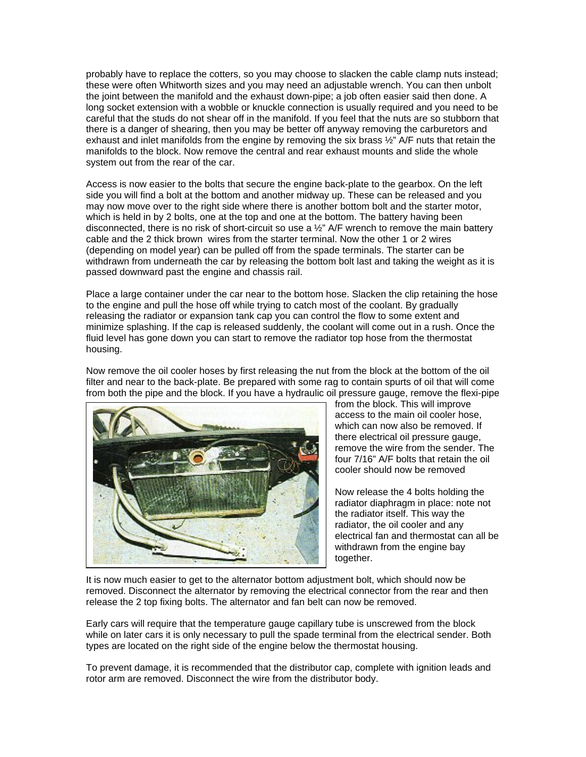probably have to replace the cotters, so you may choose to slacken the cable clamp nuts instead; these were often Whitworth sizes and you may need an adjustable wrench. You can then unbolt the joint between the manifold and the exhaust down-pipe; a job often easier said then done. A long socket extension with a wobble or knuckle connection is usually required and you need to be careful that the studs do not shear off in the manifold. If you feel that the nuts are so stubborn that there is a danger of shearing, then you may be better off anyway removing the carburetors and exhaust and inlet manifolds from the engine by removing the six brass  $\frac{1}{2}$ " A/F nuts that retain the manifolds to the block. Now remove the central and rear exhaust mounts and slide the whole system out from the rear of the car.

Access is now easier to the bolts that secure the engine back-plate to the gearbox. On the left side you will find a bolt at the bottom and another midway up. These can be released and you may now move over to the right side where there is another bottom bolt and the starter motor, which is held in by 2 bolts, one at the top and one at the bottom. The battery having been disconnected, there is no risk of short-circuit so use a ½" A/F wrench to remove the main battery cable and the 2 thick brown wires from the starter terminal. Now the other 1 or 2 wires (depending on model year) can be pulled off from the spade terminals. The starter can be withdrawn from underneath the car by releasing the bottom bolt last and taking the weight as it is passed downward past the engine and chassis rail.

Place a large container under the car near to the bottom hose. Slacken the clip retaining the hose to the engine and pull the hose off while trying to catch most of the coolant. By gradually releasing the radiator or expansion tank cap you can control the flow to some extent and minimize splashing. If the cap is released suddenly, the coolant will come out in a rush. Once the fluid level has gone down you can start to remove the radiator top hose from the thermostat housing.

Now remove the oil cooler hoses by first releasing the nut from the block at the bottom of the oil filter and near to the back-plate. Be prepared with some rag to contain spurts of oil that will come from both the pipe and the block. If you have a hydraulic oil pressure gauge, remove the flexi-pipe



from the block. This will improve access to the main oil cooler hose, which can now also be removed. If there electrical oil pressure gauge, remove the wire from the sender. The four 7/16" A/F bolts that retain the oil cooler should now be removed

Now release the 4 bolts holding the radiator diaphragm in place: note not the radiator itself. This way the radiator, the oil cooler and any electrical fan and thermostat can all be withdrawn from the engine bay together.

It is now much easier to get to the alternator bottom adjustment bolt, which should now be removed. Disconnect the alternator by removing the electrical connector from the rear and then release the 2 top fixing bolts. The alternator and fan belt can now be removed.

Early cars will require that the temperature gauge capillary tube is unscrewed from the block while on later cars it is only necessary to pull the spade terminal from the electrical sender. Both types are located on the right side of the engine below the thermostat housing.

To prevent damage, it is recommended that the distributor cap, complete with ignition leads and rotor arm are removed. Disconnect the wire from the distributor body.